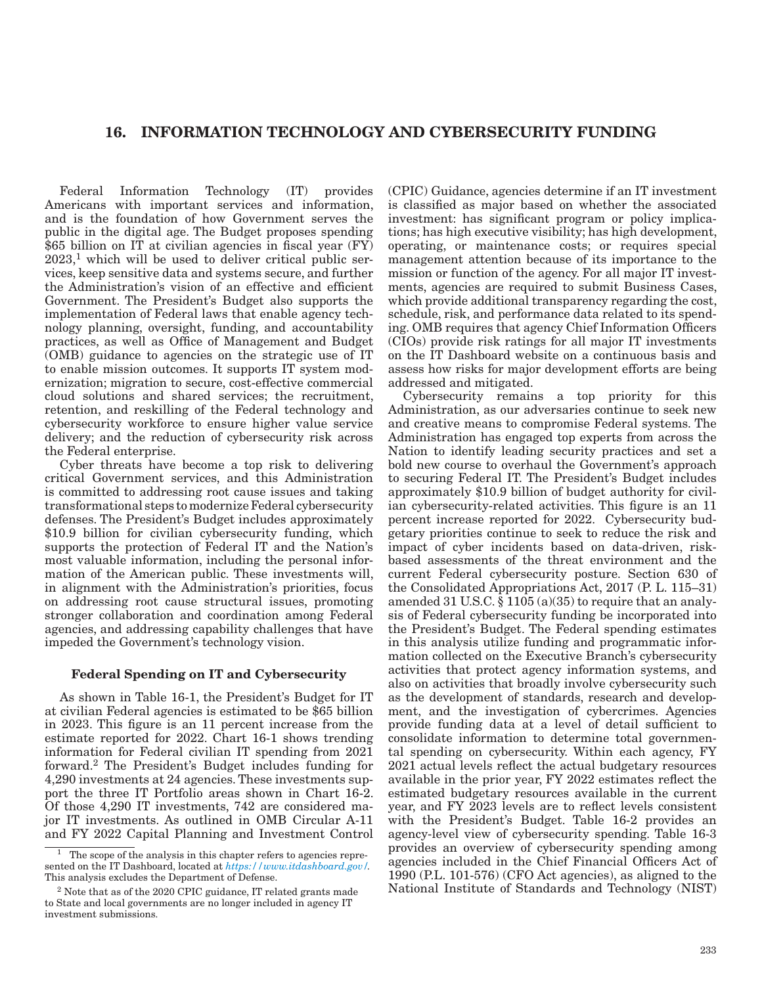# 16. INFORMATION TECHNOLOGY AND CYBERSECURITY FUNDING

Federal Information Technology (IT) provides Americans with important services and information, and is the foundation of how Government serves the public in the digital age. The Budget proposes spending \$65 billion on IT at civilian agencies in fiscal year (FY)  $2023$ <sup>1</sup>, which will be used to deliver critical public services, keep sensitive data and systems secure, and further the Administration's vision of an effective and efficient Government. The President's Budget also supports the implementation of Federal laws that enable agency technology planning, oversight, funding, and accountability practices, as well as Office of Management and Budget (OMB) guidance to agencies on the strategic use of IT to enable mission outcomes. It supports IT system modernization; migration to secure, cost-effective commercial cloud solutions and shared services; the recruitment, retention, and reskilling of the Federal technology and cybersecurity workforce to ensure higher value service delivery; and the reduction of cybersecurity risk across the Federal enterprise.

Cyber threats have become a top risk to delivering critical Government services, and this Administration is committed to addressing root cause issues and taking transformational steps to modernize Federal cybersecurity defenses. The President's Budget includes approximately \$10.9 billion for civilian cybersecurity funding, which supports the protection of Federal IT and the Nation's most valuable information, including the personal information of the American public. These investments will, in alignment with the Administration's priorities, focus on addressing root cause structural issues, promoting stronger collaboration and coordination among Federal agencies, and addressing capability challenges that have impeded the Government's technology vision.

# Federal Spending on IT and Cybersecurity

As shown in Table 16-1, the President's Budget for IT at civilian Federal agencies is estimated to be \$65 billion in 2023. This figure is an 11 percent increase from the estimate reported for 2022. Chart 16-1 shows trending information for Federal civilian IT spending from 2021 forward.2 The President's Budget includes funding for 4,290 investments at 24 agencies. These investments support the three IT Portfolio areas shown in Chart 16-2. Of those 4,290 IT investments, 742 are considered major IT investments. As outlined in OMB Circular A-11 and FY 2022 Capital Planning and Investment Control

(CPIC) Guidance, agencies determine if an IT investment is classified as major based on whether the associated investment: has significant program or policy implications; has high executive visibility; has high development, operating, or maintenance costs; or requires special management attention because of its importance to the mission or function of the agency. For all major IT investments, agencies are required to submit Business Cases, which provide additional transparency regarding the cost, schedule, risk, and performance data related to its spending. OMB requires that agency Chief Information Officers (CIOs) provide risk ratings for all major IT investments on the IT Dashboard website on a continuous basis and assess how risks for major development efforts are being addressed and mitigated.

Cybersecurity remains a top priority for this Administration, as our adversaries continue to seek new and creative means to compromise Federal systems. The Administration has engaged top experts from across the Nation to identify leading security practices and set a bold new course to overhaul the Government's approach to securing Federal IT. The President's Budget includes approximately \$10.9 billion of budget authority for civilian cybersecurity-related activities. This figure is an 11 percent increase reported for 2022. Cybersecurity budgetary priorities continue to seek to reduce the risk and impact of cyber incidents based on data-driven, riskbased assessments of the threat environment and the current Federal cybersecurity posture. Section 630 of the Consolidated Appropriations Act, 2017 (P. L. 115–31) amended 31 U.S.C. § 1105 (a)(35) to require that an analysis of Federal cybersecurity funding be incorporated into the President's Budget. The Federal spending estimates in this analysis utilize funding and programmatic information collected on the Executive Branch's cybersecurity activities that protect agency information systems, and also on activities that broadly involve cybersecurity such as the development of standards, research and development, and the investigation of cybercrimes. Agencies provide funding data at a level of detail sufficient to consolidate information to determine total governmental spending on cybersecurity. Within each agency, FY 2021 actual levels reflect the actual budgetary resources available in the prior year, FY 2022 estimates reflect the estimated budgetary resources available in the current year, and FY 2023 levels are to reflect levels consistent with the President's Budget. Table 16-2 provides an agency-level view of cybersecurity spending. Table 16-3 provides an overview of cybersecurity spending among agencies included in the Chief Financial Officers Act of 1990 (P.L. 101-576) (CFO Act agencies), as aligned to the National Institute of Standards and Technology (NIST)

<sup>1</sup> The scope of the analysis in this chapter refers to agencies represented on the IT Dashboard, located at *<https://www.itdashboard.gov/>*. This analysis excludes the Department of Defense.

<sup>2</sup> Note that as of the 2020 CPIC guidance, IT related grants made to State and local governments are no longer included in agency IT investment submissions.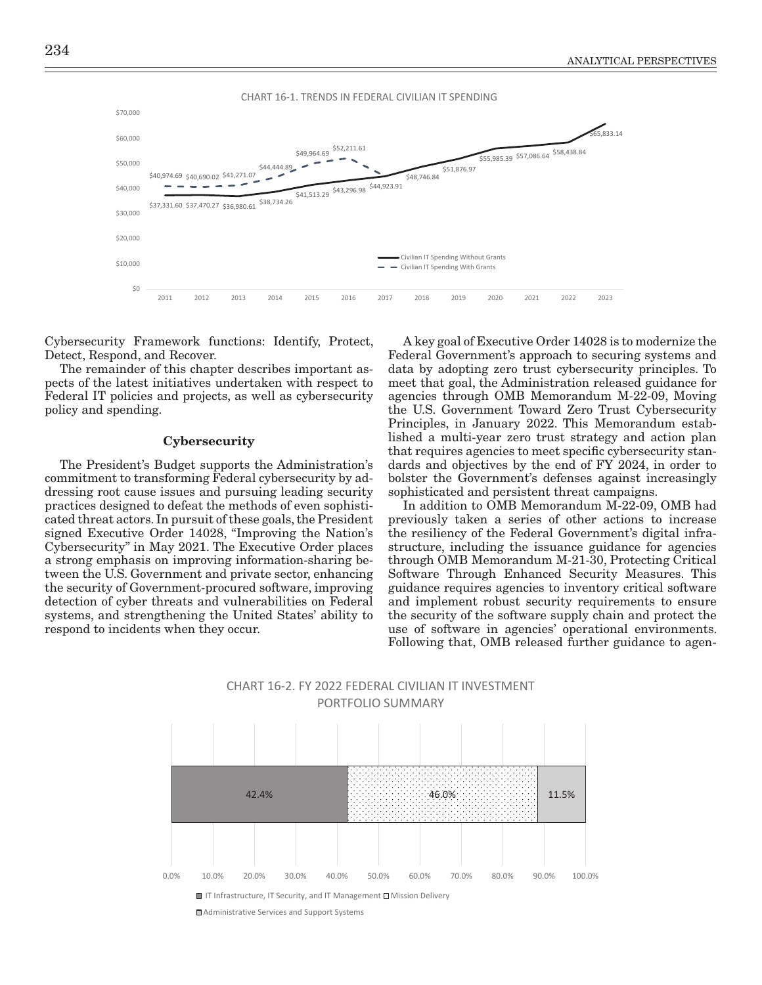



Cybersecurity Framework functions: Identify, Protect, Detect, Respond, and Recover.

The remainder of this chapter describes important aspects of the latest initiatives undertaken with respect to Federal IT policies and projects, as well as cybersecurity policy and spending.

#### **Cybersecurity**

The President's Budget supports the Administration's commitment to transforming Federal cybersecurity by addressing root cause issues and pursuing leading security practices designed to defeat the methods of even sophisticated threat actors. In pursuit of these goals, the President signed Executive Order 14028, "Improving the Nation's Cybersecurity" in May 2021. The Executive Order places a strong emphasis on improving information-sharing between the U.S. Government and private sector, enhancing the security of Government-procured software, improving detection of cyber threats and vulnerabilities on Federal systems, and strengthening the United States' ability to respond to incidents when they occur.

A key goal of Executive Order 14028 is to modernize the Federal Government's approach to securing systems and data by adopting zero trust cybersecurity principles. To meet that goal, the Administration released guidance for agencies through OMB Memorandum M-22-09, Moving the U.S. Government Toward Zero Trust Cybersecurity Principles, in January 2022. This Memorandum established a multi-year zero trust strategy and action plan that requires agencies to meet specific cybersecurity standards and objectives by the end of FY 2024, in order to bolster the Government's defenses against increasingly sophisticated and persistent threat campaigns.

In addition to OMB Memorandum M-22-09, OMB had previously taken a series of other actions to increase the resiliency of the Federal Government's digital infrastructure, including the issuance guidance for agencies through OMB Memorandum M-21-30, Protecting Critical Software Through Enhanced Security Measures. This guidance requires agencies to inventory critical software and implement robust security requirements to ensure the security of the software supply chain and protect the use of software in agencies' operational environments. Following that, OMB released further guidance to agen-



CHART 16-2. FY 2022 FEDERAL CIVILIAN IT INVESTMENT

■ IT Infrastructure, IT Security, and IT Management **□** Mission Delivery

Administrative Services and Support Systems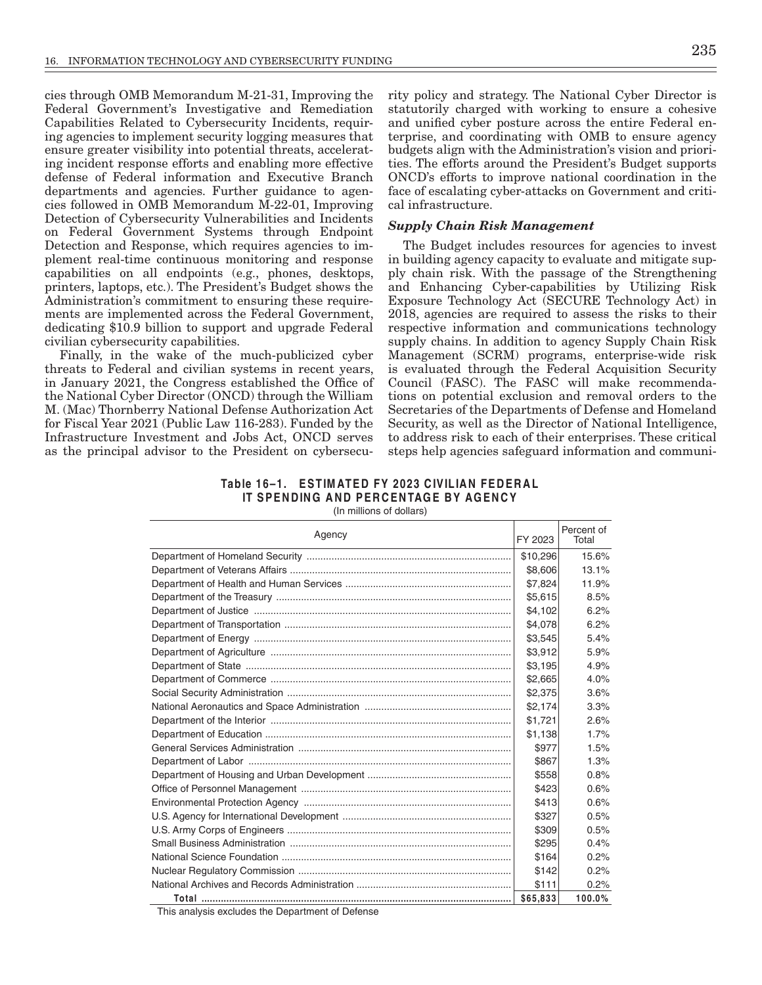cies through OMB Memorandum M-21-31, Improving the Federal Government's Investigative and Remediation Capabilities Related to Cybersecurity Incidents, requiring agencies to implement security logging measures that ensure greater visibility into potential threats, accelerating incident response efforts and enabling more effective defense of Federal information and Executive Branch departments and agencies. Further guidance to agencies followed in OMB Memorandum M-22-01, Improving Detection of Cybersecurity Vulnerabilities and Incidents on Federal Government Systems through Endpoint Detection and Response, which requires agencies to implement real-time continuous monitoring and response capabilities on all endpoints (e.g., phones, desktops, printers, laptops, etc.). The President's Budget shows the Administration's commitment to ensuring these requirements are implemented across the Federal Government, dedicating \$10.9 billion to support and upgrade Federal civilian cybers ecurity capabilities.

Finally, in the wake of the much-publicized cyber threats to Federal and civilian systems in recent years, in January 2021, the Congress established the Office of the National Cyber Director (ONCD) through the William M. (Mac) Thornberry National Defense Authorization Act for Fiscal Year 2021 (Public Law 116-283). Funded by the Infrastructure Investment and Jobs Act, ONCD serves as the principal advisor to the President on cybersecurity policy and strategy. The National Cyber Director is statutorily charged with working to ensure a cohesive and unified cyber posture across the entire Federal enterprise, and coordinating with OMB to ensure agency budgets align with the Administration's vision and priorities. The efforts around the President's Budget supports ONCD's efforts to improve national coordination in the face of escalating cyber-attacks on Government and critical infrastructure.

# **Supply Chain Risk Management**

The Budget includes resources for agencies to invest in building agency capacity to evaluate and mitigate supply chain risk. With the passage of the Strengthening and Enhancing Cyber-capabilities by Utilizing Risk Exposure Technology Act (SECURE Technology Act) in 2018, agencies are required to assess the risks to their respective information and communications technology supply chains. In addition to agency Supply Chain Risk Management (SCRM) programs, enterprise-wide risk is evaluated through the Federal Acquisition Security Council (FASC). The FASC will make recommendations on potential exclusion and removal orders to the Secretaries of the Departments of Defense and Homeland Security, as well as the Director of National Intelligence, to address risk to each of their enterprises. These critical steps help agencies safeguard information and communi-

# Table 16-1. ESTIMATED FY 2023 CIVILIAN FEDERAL IT SPENDING AND PERCENTAGE BY AGENCY

(In millions of dollars)

| Agency | FY 2023  | Percent of<br>Total |
|--------|----------|---------------------|
|        | \$10,296 | 15.6%               |
|        | \$8,606  | 13.1%               |
|        | \$7.824  | 11.9%               |
|        | \$5,615  | 8.5%                |
|        | \$4,102  | 6.2%                |
|        | \$4.078  | 6.2%                |
|        | \$3,545  | 5.4%                |
|        | \$3.912  | 5.9%                |
|        | \$3.195  | 4.9%                |
|        | \$2,665  | 4.0%                |
|        | \$2,375  | 3.6%                |
|        | \$2.174  | 3.3%                |
|        | \$1,721  | 2.6%                |
|        | \$1,138  | 1.7%                |
|        | \$977    | 1.5%                |
|        | \$867    | 1.3%                |
|        | \$558    | 0.8%                |
|        | \$423    | 0.6%                |
|        | \$413    | 0.6%                |
|        | \$327    | 0.5%                |
|        | \$309    | 0.5%                |
|        | \$295    | 0.4%                |
|        | \$164    | 0.2%                |
|        | \$142    | 0.2%                |
|        | \$111    | 0.2%                |
|        | \$65,833 | 100.0%              |

This analysis excludes the Department of Defense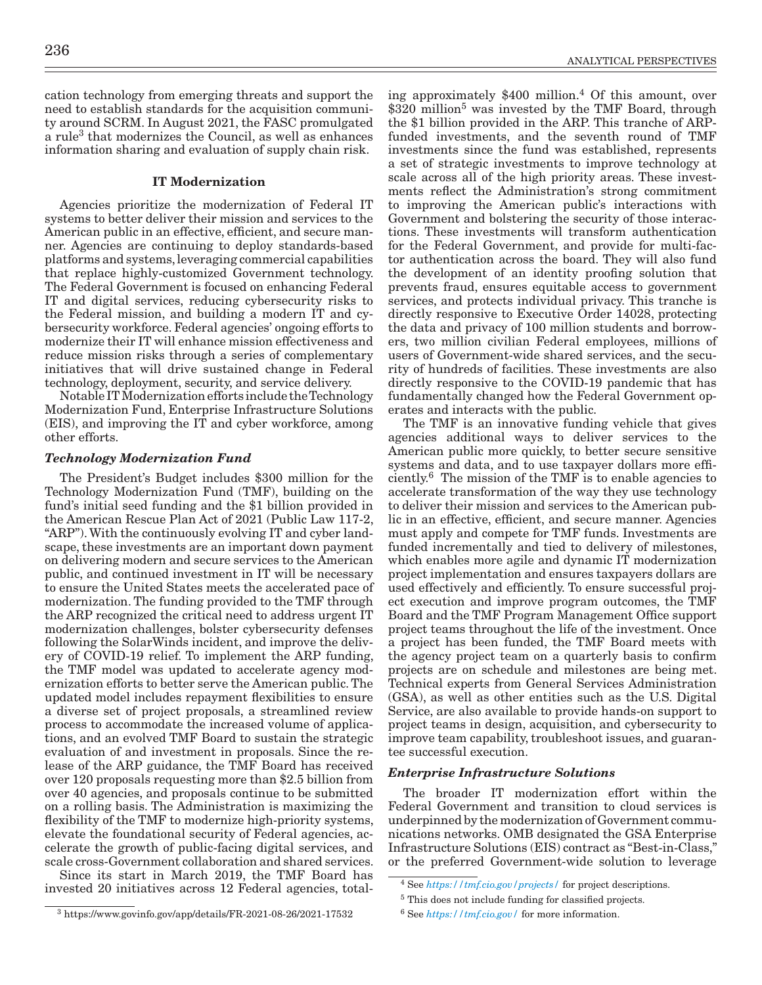cation technology from emerging threats and support the need to establish standards for the acquisition community around SCRM. In August 2021, the FASC promulgated a rule<sup>3</sup> that modernizes the Council, as well as enhances information sharing and evaluation of supply chain risk.

# IT Modernization

Agencies prioritize the modernization of Federal IT systems to better deliver their mission and services to the American public in an effective, efficient, and secure manner. Agencies are continuing to deploy standards-based platforms and systems, leveraging commercial capabilities that replace highly-customized Government technology. The Federal Government is focused on enhancing Federal IT and digital services, reducing cybersecurity risks to the Federal mission, and building a modern IT and cybersecurity workforce. Federal agencies' ongoing efforts to modernize their IT will enhance mission effectiveness and reduce mission risks through a series of complementary initiatives that will drive sustained change in Federal technology, deployment, security, and service delivery.

Notable IT Modernization efforts include the Technology Modernization Fund, Enterprise Infrastructure Solutions (EIS), and improving the IT and cyber workforce, among other efforts.

# *Technology Modernization Fund*

The President's Budget includes \$300 million for the Technology Modernization Fund (TMF), building on the fund's initial seed funding and the \$1 billion provided in the American Rescue Plan Act of 2021 (Public Law 117-2, "ARP"). With the continuously evolving IT and cyber landscape, these investments are an important down payment on delivering modern and secure services to the American public, and continued investment in IT will be necessary to ensure the United States meets the accelerated pace of modernization. The funding provided to the TMF through the ARP recognized the critical need to address urgent IT modernization challenges, bolster cybersecurity defenses following the SolarWinds incident, and improve the delivery of COVID-19 relief. To implement the ARP funding, the TMF model was updated to accelerate agency modernization efforts to better serve the American public. The updated model includes repayment flexibilities to ensure a diverse set of project proposals, a streamlined review process to accommodate the increased volume of applications, and an evolved TMF Board to sustain the strategic evaluation of and investment in proposals. Since the release of the ARP guidance, the TMF Board has received over 120 proposals requesting more than \$2.5 billion from over 40 agencies, and proposals continue to be submitted on a rolling basis. The Administration is maximizing the flexibility of the TMF to modernize high-priority systems, elevate the foundational security of Federal agencies, accelerate the growth of public-facing digital services, and scale cross-Government collaboration and shared services.

Since its start in March 2019, the TMF Board has invested 20 initiatives across 12 Federal agencies, totaling approximately  $$400$  million.<sup>4</sup> Of this amount, over \$320 million<sup>5</sup> was invested by the TMF Board, through the \$1 billion provided in the ARP. This tranche of ARPfunded investments, and the seventh round of TMF investments since the fund was established, represents a set of strategic investments to improve technology at scale across all of the high priority areas. These investments reflect the Administration's strong commitment to improving the American public's interactions with Government and bolstering the security of those interactions. These investments will transform authentication for the Federal Government, and provide for multi-factor authentication across the board. They will also fund the development of an identity proofing solution that prevents fraud, ensures equitable access to government services, and protects individual privacy. This tranche is directly responsive to Executive Order 14028, protecting the data and privacy of 100 million students and borrowers, two million civilian Federal employees, millions of users of Government-wide shared services, and the security of hundreds of facilities. These investments are also directly responsive to the COVID-19 pandemic that has fundamentally changed how the Federal Government operates and interacts with the public.

The TMF is an innovative funding vehicle that gives agencies additional ways to deliver services to the American public more quickly, to better secure sensitive systems and data, and to use taxpayer dollars more efficiently.6 The mission of the TMF is to enable agencies to accelerate transformation of the way they use technology to deliver their mission and services to the American public in an effective, efficient, and secure manner. Agencies must apply and compete for TMF funds. Investments are funded incrementally and tied to delivery of milestones, which enables more agile and dynamic IT modernization project implementation and ensures taxpayers dollars are used effectively and efficiently. To ensure successful project execution and improve program outcomes, the TMF Board and the TMF Program Management Office support project teams throughout the life of the investment. Once a project has been funded, the TMF Board meets with the agency project team on a quarterly basis to confirm projects are on schedule and milestones are being met. Technical experts from General Services Administration (GSA), as well as other entities such as the U.S. Digital Service, are also available to provide hands-on support to project teams in design, acquisition, and cybersecurity to improve team capability, troubleshoot issues, and guarantee successful execution.

# *Enterprise Infrastructure Solutions*

The broader IT modernization effort within the Federal Government and transition to cloud services is underpinned by the modernization of Government communications networks. OMB designated the GSA Enterprise Infrastructure Solutions (EIS) contract as "Best-in-Class," or the preferred Government-wide solution to leverage

<sup>4</sup> See *<https://tmf.cio.gov/projects/>* for project descriptions.

<sup>5</sup> This does not include funding for classified projects.

<sup>6</sup> See *<https://tmf.cio.gov/>* for more information.

<sup>3</sup> https://www.govinfo.gov/app/details/FR-2021-08-26/2021-17532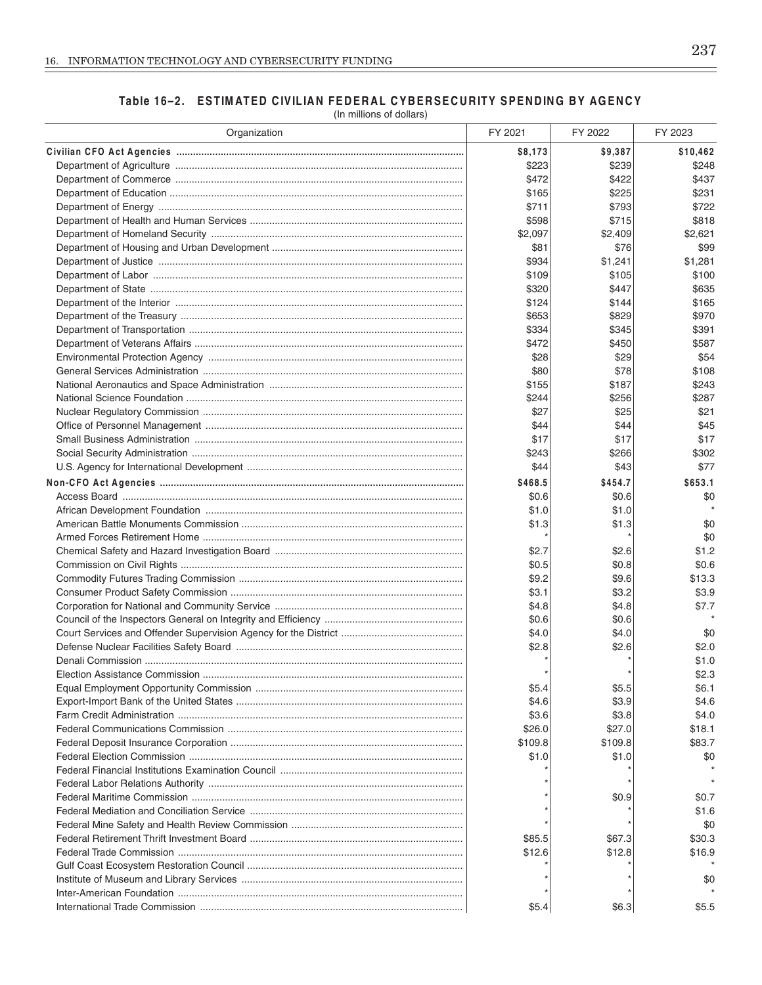# Table 16-2. ESTIMATED CIVILIAN FEDERAL CYBERSECURITY SPENDING BY AGENCY

(In millions of dollars)

| Organization | FY 2021 | FY 2022 | FY 2023  |
|--------------|---------|---------|----------|
|              | \$8,173 | \$9,387 | \$10,462 |
|              | \$223   | \$239   | \$248    |
|              | \$472   | \$422   | \$437    |
|              | \$165   | \$225   | \$231    |
|              | \$711   | \$793   | \$722    |
|              | \$598   | \$715   | \$818    |
|              | \$2,097 | \$2,409 | \$2,621  |
|              | \$81    | \$76    | \$99     |
|              | \$934   | \$1,241 | \$1.281  |
|              | \$109   | \$105   | \$100    |
|              | \$320   | \$447   | \$635    |
|              | \$124   | \$144   | \$165    |
|              | \$653   | \$829   | \$970    |
|              | \$334   | \$345   | \$391    |
|              | \$472   | \$450   | \$587    |
|              | \$28    | \$29    | \$54     |
|              | \$80    | \$78    | \$108    |
|              | \$155   | \$187   | \$243    |
|              | \$244   | \$256   | \$287    |
|              | \$27    | \$25    | \$21     |
|              | \$44    | \$44    | \$45     |
|              | \$17    | \$17    | \$17     |
|              | \$243   | \$266   | \$302    |
|              | \$44    | \$43    | \$77     |
|              |         |         |          |
|              | \$468.5 | \$454.7 | \$653.1  |
|              | \$0.6   | \$0.6   | \$0      |
|              | \$1.0   | \$1.0   |          |
|              | \$1.3   | \$1.3   | \$0      |
|              |         |         | \$0      |
|              | \$2.7   | \$2.6   | \$1.2    |
|              | \$0.5   | \$0.8   | \$0.6    |
|              | \$9.2   | \$9.6   | \$13.3   |
|              | \$3.1   | \$3.2   | \$3.9    |
|              | \$4.8   | \$4.8   | \$7.7    |
|              | \$0.6   | \$0.6   |          |
|              | \$4.0   | \$4.0   | \$0      |
|              | \$2.8   | \$2.6   | \$2.0    |
|              |         |         | \$1.0    |
|              |         |         | \$2.3    |
|              | \$5.4   | \$5.5   | \$6.1    |
|              | \$4.6   | \$3.9   | \$4.6    |
|              | \$3.6   | \$3.8   | \$4.0    |
|              | \$26.0  | \$27.0  | \$18.1   |
|              | \$109.8 | \$109.8 | \$83.7   |
|              | \$1.0   | \$1.0   | \$0      |
|              |         |         |          |
|              |         |         |          |
|              |         | \$0.9   | \$0.7    |
|              |         |         | \$1.6    |
|              |         |         | \$0      |
|              | \$85.5  | \$67.3  | \$30.3   |
|              | \$12.6  | \$12.8  | \$16.9   |
|              |         |         |          |
|              |         |         | \$0      |
|              |         |         |          |
|              | \$5.4   | \$6.3   | \$5.5    |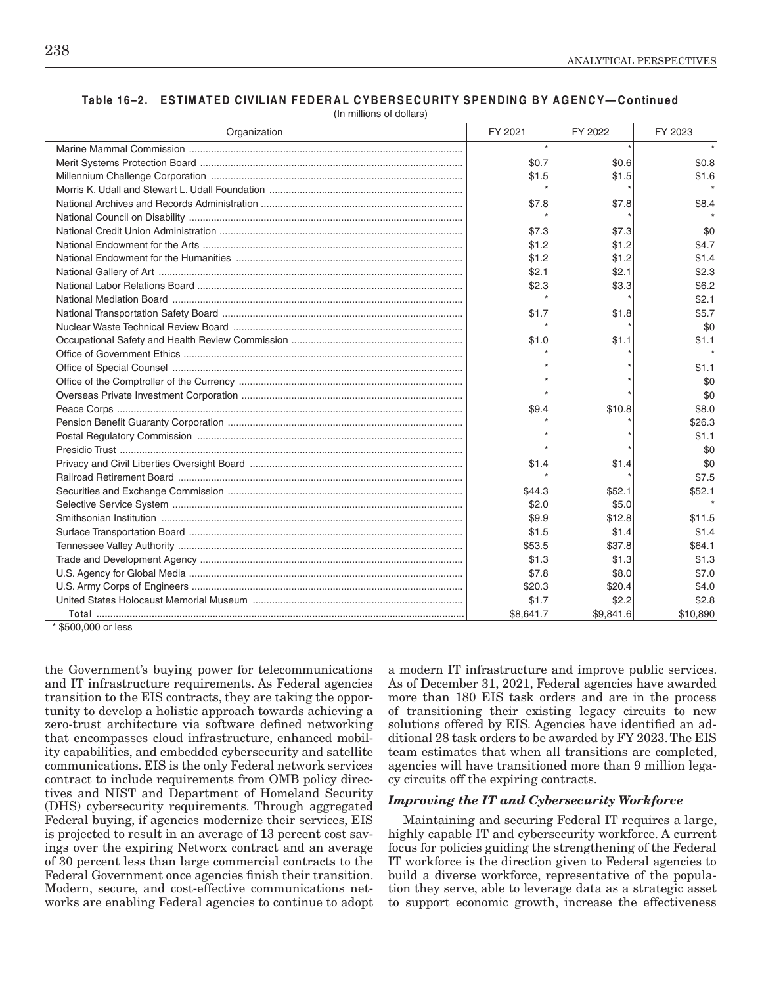| Organization | FY 2021 | FY 2022 | FY 2023 |
|--------------|---------|---------|---------|
|              |         |         |         |
|              | \$0.7   | \$0.6   | \$0.8   |
|              | \$1.5   | \$1.5   | \$1.6   |
|              |         |         |         |
|              | \$7.8   | \$7.8   | \$8.4   |
|              |         |         |         |
|              | \$7.3   | \$7.3   | \$0     |
|              | \$1.2   | \$1.2   | \$4.7   |
|              | \$1.2   | \$1.2   | \$1.4   |
|              | \$2.1   | \$2.1   | \$2.3   |
|              | \$2.3   | \$3.3   | \$6.2   |
|              |         |         | \$2.1   |
|              | \$1.7   | \$1.8   | \$5.7   |
|              |         |         | \$0     |
|              | \$1.0   | \$1.1   | \$1.1   |
|              |         |         |         |
|              |         |         | \$1.1   |
|              |         |         | \$0     |
|              |         |         | \$0     |
|              | \$9.4   | \$10.8  | \$8.0   |
|              |         |         | \$26.3  |
|              |         |         | \$1.1   |
|              |         |         | \$0     |
|              | \$1.4   | \$1.4   | \$0     |
|              |         |         | \$7.5   |
|              | \$44.3  | \$52.1  | \$52.1  |
|              | \$2.0   | \$5.0   | $\star$ |
|              | \$9.9   | \$12.8  | \$11.5  |
|              | \$1.5   | \$1.4   | \$1.4   |
|              | \$53.5  | \$37.8  | \$64.1  |
|              | \$1.3   | \$1.3   | \$1.3   |
|              | \$7.8   | \$8.0   | \$7.0   |
|              | \$20.3  | \$20.4  | \$4.0   |
|              | \$1.7   | \$2.2   | \$2.8   |

Total ......... \$500,000 or less

the Government's buying power for telecommunications and IT infrastructure requirements. As Federal agencies transition to the EIS contracts, they are taking the opportunity to develop a holistic approach towards achieving a zero-trust architecture via software defined networking that encompasses cloud infrastructure, enhanced mobility capabilities, and embedded cybersecurity and satellite communications. EIS is the only Federal network services contract to include requirements from OMB policy directives and NIST and Department of Homeland Security (DHS) cybersecurity requirements. Through aggregated Federal buying, if agencies modernize their services, EIS is projected to result in an average of 13 percent cost savings over the expiring Networx contract and an average of 30 percent less than large commercial contracts to the Federal Government once agencies finish their transition. Modern, secure, and cost-effective communications networks are enabling Federal agencies to continue to adopt

a modern IT infrastructure and improve public services. As of December 31, 2021, Federal agencies have awarded more than 180 EIS task orders and are in the process of transitioning their existing legacy circuits to new solutions offered by EIS. Agencies have identified an additional 28 task orders to be awarded by FY 2023. The EIS team estimates that when all transitions are completed, agencies will have transitioned more than 9 million legacy circuits off the expiring contracts.

\$9,841.6

\$10,890

# **Improving the IT and Cybersecurity Workforce**

\$8,641.7

Maintaining and securing Federal IT requires a large, highly capable IT and cybersecurity workforce. A current focus for policies guiding the strengthening of the Federal IT workforce is the direction given to Federal agencies to build a diverse workforce, representative of the population they serve, able to leverage data as a strategic asset to support economic growth, increase the effectiveness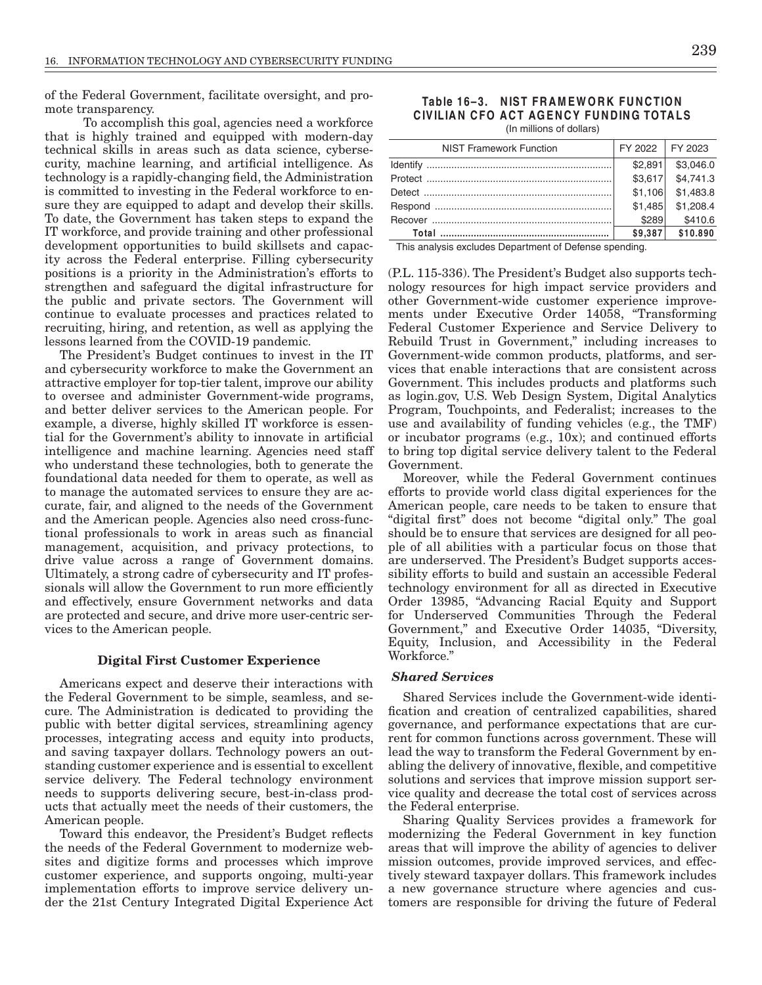of the Federal Government, facilitate oversight, and promote transparency.

To accomplish this goal, agencies need a workforce that is highly trained and equipped with modern-day technical skills in areas such as data science, cybersecurity, machine learning, and artificial intelligence. As technology is a rapidly-changing field, the Administration is committed to investing in the Federal workforce to ensure they are equipped to adapt and develop their skills. To date, the Government has taken steps to expand the IT workforce, and provide training and other professional development opportunities to build skillsets and capacity across the Federal enterprise. Filling cybersecurity positions is a priority in the Administration's efforts to strengthen and safeguard the digital infrastructure for the public and private sectors. The Government will continue to evaluate processes and practices related to recruiting, hiring, and retention, as well as applying the lessons learned from the COVID-19 pandemic.

The President's Budget continues to invest in the IT and cybersecurity workforce to make the Government an attractive employer for top-tier talent, improve our ability to oversee and administer Government-wide programs, and better deliver services to the American people. For example, a diverse, highly skilled IT workforce is essential for the Government's ability to innovate in artificial intelligence and machine learning. Agencies need staff who understand these technologies, both to generate the foundational data needed for them to operate, as well as to manage the automated services to ensure they are accurate, fair, and aligned to the needs of the Government and the American people. Agencies also need cross-functional professionals to work in areas such as financial management, acquisition, and privacy protections, to drive value across a range of Government domains. Ultimately, a strong cadre of cybersecurity and IT professionals will allow the Government to run more efficiently and effectively, ensure Government networks and data are protected and secure, and drive more user-centric services to the American people.

#### **Digital First Customer Experience**

Americans expect and deserve their interactions with the Federal Government to be simple, seamless, and secure. The Administration is dedicated to providing the public with better digital services, streamlining agency processes, integrating access and equity into products, and saving taxpayer dollars. Technology powers an outstanding customer experience and is essential to excellent service delivery. The Federal technology environment needs to supports delivering secure, best-in-class products that actually meet the needs of their customers, the American people.

Toward this endeavor, the President's Budget reflects the needs of the Federal Government to modernize websites and digitize forms and processes which improve customer experience, and supports ongoing, multi-year implementation efforts to improve service delivery under the 21st Century Integrated Digital Experience Act

Table 16-3. NIST FRAMEWORK FUNCTION CIVILIAN CFO ACT AGENCY FUNDING TOTALS (In millions of dollars)

| <b>NIST Framework Function</b> | FY 2022 FY 2023 |                     |
|--------------------------------|-----------------|---------------------|
|                                | \$2.891         | \$3.046.0           |
|                                |                 | $$3,617$ $$4,741.3$ |
|                                | \$1,106         | \$1,483.8           |
|                                | \$1.485         | \$1,208.4           |
|                                | \$289           | \$410.6             |
|                                | \$9.387         | \$10.890            |

This analysis excludes Department of Defense spending.

(P.L. 115-336). The President's Budget also supports technology resources for high impact service providers and other Government-wide customer experience improvements under Executive Order 14058, "Transforming Federal Customer Experience and Service Delivery to Rebuild Trust in Government," including increases to Government-wide common products, platforms, and services that enable interactions that are consistent across Government. This includes products and platforms such as login.gov, U.S. Web Design System, Digital Analytics Program, Touchpoints, and Federalist; increases to the use and availability of funding vehicles (e.g., the TMF) or incubator programs (e.g., 10x); and continued efforts to bring top digital service delivery talent to the Federal Government.

Moreover, while the Federal Government continues efforts to provide world class digital experiences for the American people, care needs to be taken to ensure that "digital first" does not become "digital only." The goal should be to ensure that services are designed for all people of all abilities with a particular focus on those that are underserved. The President's Budget supports accessibility efforts to build and sustain an accessible Federal technology environment for all as directed in Executive Order 13985, "Advancing Racial Equity and Support for Underserved Communities Through the Federal Government," and Executive Order 14035, "Diversity, Equity, Inclusion, and Accessibility in the Federal Workforce."

# **Shared Services**

Shared Services include the Government-wide identification and creation of centralized capabilities, shared governance, and performance expectations that are current for common functions across government. These will lead the way to transform the Federal Government by enabling the delivery of innovative, flexible, and competitive solutions and services that improve mission support service quality and decrease the total cost of services across the Federal enterprise.

Sharing Quality Services provides a framework for modernizing the Federal Government in key function areas that will improve the ability of agencies to deliver mission outcomes, provide improved services, and effectively steward taxpayer dollars. This framework includes a new governance structure where agencies and customers are responsible for driving the future of Federal